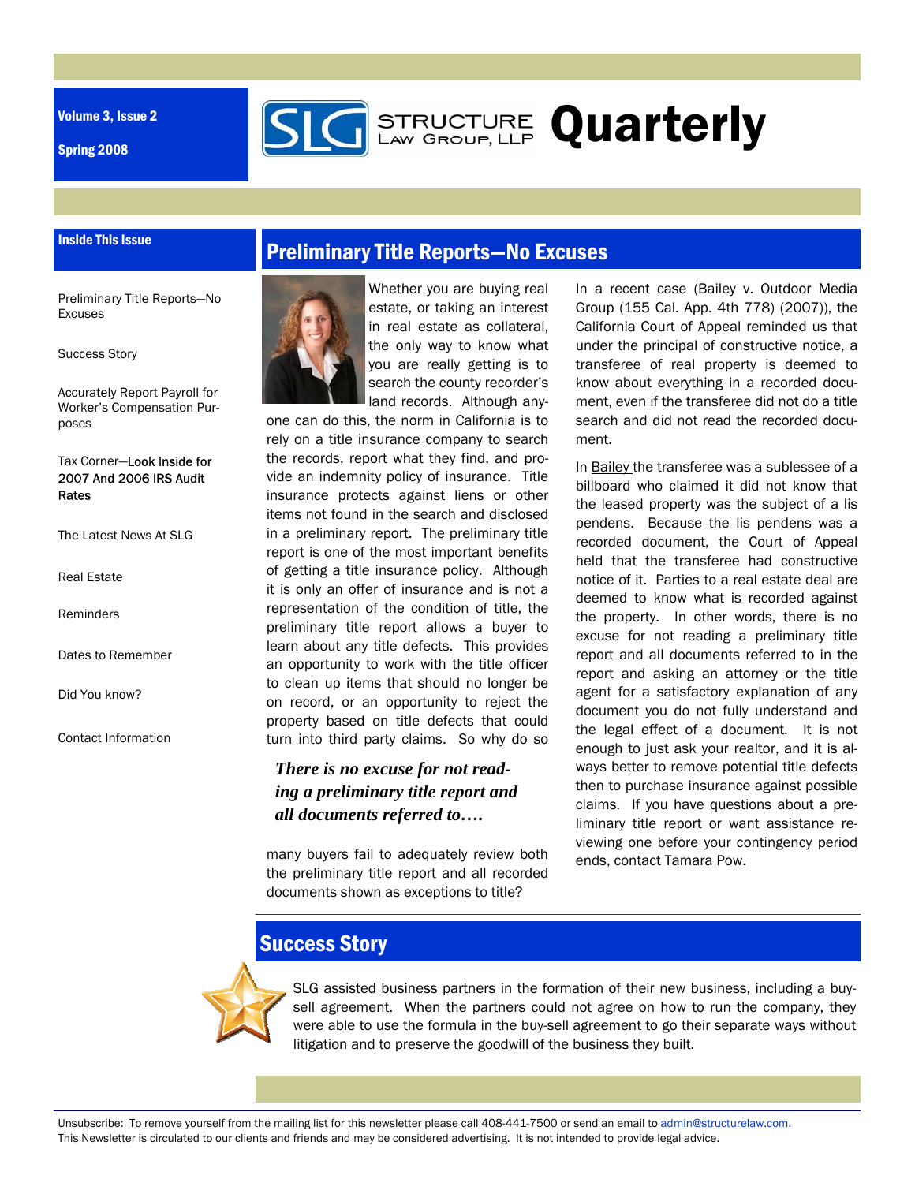Volume 3, Issue 2

Inside This Issue

Spring 2008





Success Story

Accurately Report Payroll for Worker's Compensation Purposes

Tax Corner—Look Inside for 2007 And 2006 IRS Audit Rates

The Latest News At SLG

Real Estate

Reminders

Dates to Remember

Did You know?

Contact Information



Whether you are buying real estate, or taking an interest in real estate as collateral, the only way to know what you are really getting is to search the county recorder's land records. Although any-

**GERENGTURE Quarterly** 

one can do this, the norm in California is to rely on a title insurance company to search the records, report what they find, and provide an indemnity policy of insurance. Title insurance protects against liens or other items not found in the search and disclosed in a preliminary report. The preliminary title report is one of the most important benefits of getting a title insurance policy. Although it is only an offer of insurance and is not a representation of the condition of title, the preliminary title report allows a buyer to learn about any title defects. This provides an opportunity to work with the title officer to clean up items that should no longer be on record, or an opportunity to reject the property based on title defects that could turn into third party claims. So why do so

#### *There is no excuse for not reading a preliminary title report and all documents referred to….*

many buyers fail to adequately review both the preliminary title report and all recorded documents shown as exceptions to title?

In a recent case (Bailey v. Outdoor Media Group (155 Cal. App. 4th 778) (2007)), the California Court of Appeal reminded us that under the principal of constructive notice, a transferee of real property is deemed to know about everything in a recorded document, even if the transferee did not do a title search and did not read the recorded document.

In Bailey the transferee was a sublessee of a billboard who claimed it did not know that the leased property was the subject of a lis pendens. Because the lis pendens was a recorded document, the Court of Appeal held that the transferee had constructive notice of it. Parties to a real estate deal are deemed to know what is recorded against the property. In other words, there is no excuse for not reading a preliminary title report and all documents referred to in the report and asking an attorney or the title agent for a satisfactory explanation of any document you do not fully understand and the legal effect of a document. It is not enough to just ask your realtor, and it is always better to remove potential title defects then to purchase insurance against possible claims. If you have questions about a preliminary title report or want assistance reviewing one before your contingency period ends, contact Tamara Pow.

### **Success Story**



SLG assisted business partners in the formation of their new business, including a buysell agreement. When the partners could not agree on how to run the company, they were able to use the formula in the buy-sell agreement to go their separate ways without litigation and to preserve the goodwill of the business they built.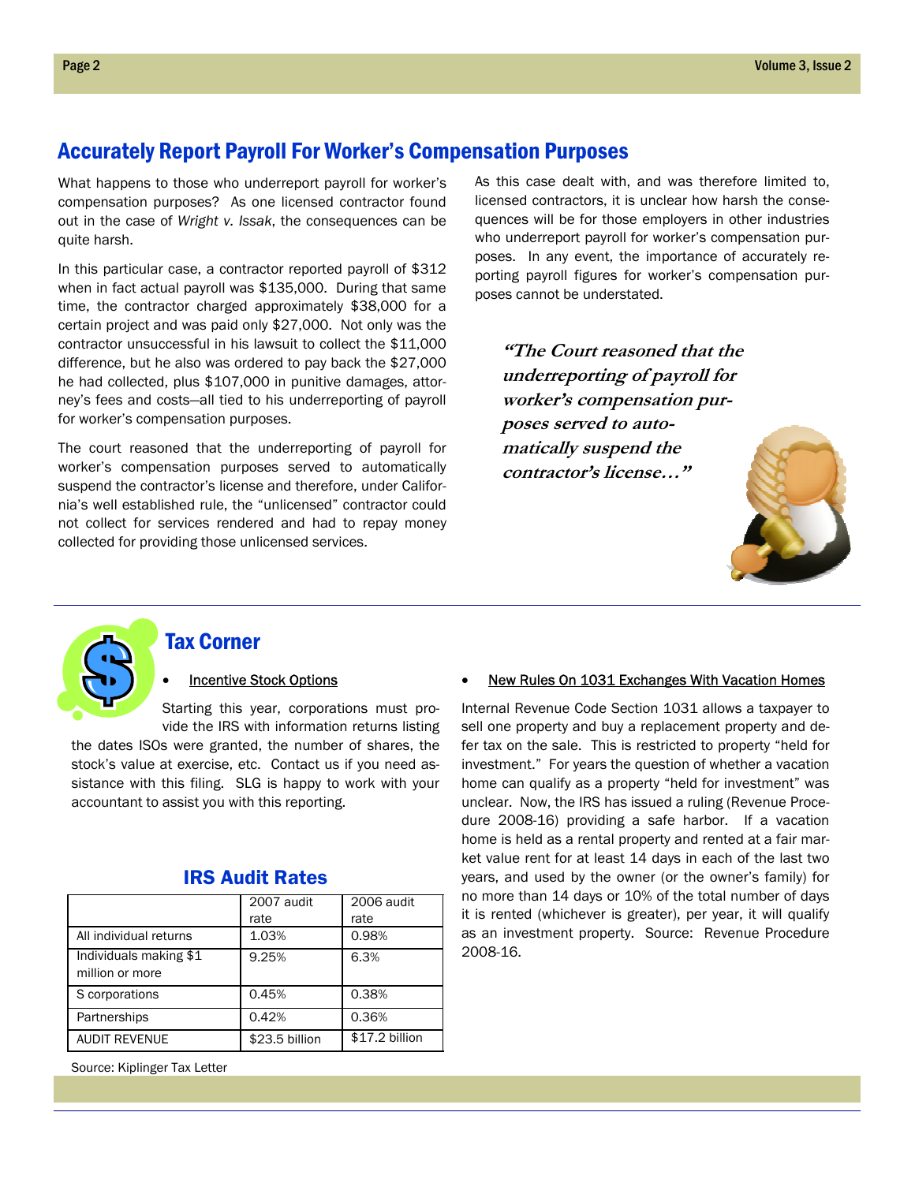#### Accurately Report Payroll For Worker's Compensation Purposes

What happens to those who underreport payroll for worker's compensation purposes? As one licensed contractor found out in the case of *Wright v. Issak*, the consequences can be quite harsh.

In this particular case, a contractor reported payroll of \$312 when in fact actual payroll was \$135,000. During that same time, the contractor charged approximately \$38,000 for a certain project and was paid only \$27,000. Not only was the contractor unsuccessful in his lawsuit to collect the \$11,000 difference, but he also was ordered to pay back the \$27,000 he had collected, plus \$107,000 in punitive damages, attorney's fees and costs—all tied to his underreporting of payroll for worker's compensation purposes.

The court reasoned that the underreporting of payroll for worker's compensation purposes served to automatically suspend the contractor's license and therefore, under California's well established rule, the "unlicensed" contractor could not collect for services rendered and had to repay money collected for providing those unlicensed services.

As this case dealt with, and was therefore limited to, licensed contractors, it is unclear how harsh the consequences will be for those employers in other industries who underreport payroll for worker's compensation purposes. In any event, the importance of accurately reporting payroll figures for worker's compensation purposes cannot be understated.

**"The Court reasoned that the underreporting of payroll for worker's compensation purposes served to automatically suspend the contractor's license…"** 





### Tax Corner

#### **Incentive Stock Options**

Starting this year, corporations must provide the IRS with information returns listing

the dates ISOs were granted, the number of shares, the stock's value at exercise, etc. Contact us if you need assistance with this filing. SLG is happy to work with your accountant to assist you with this reporting.

|                                           | 2007 audit<br>rate | 2006 audit<br>rate |
|-------------------------------------------|--------------------|--------------------|
| All individual returns                    | 1.03%              | 0.98%              |
| Individuals making \$1<br>million or more | 9.25%              | 6.3%               |
| S corporations                            | 0.45%              | 0.38%              |
| Partnerships                              | 0.42%              | 0.36%              |
| <b>AUDIT REVENUE</b>                      | \$23.5 billion     | \$17.2 billion     |

#### IRS Audit Rates

Source: Kiplinger Tax Letter

#### New Rules On 1031 Exchanges With Vacation Homes

Internal Revenue Code Section 1031 allows a taxpayer to sell one property and buy a replacement property and defer tax on the sale. This is restricted to property "held for investment." For years the question of whether a vacation home can qualify as a property "held for investment" was unclear. Now, the IRS has issued a ruling (Revenue Procedure 2008-16) providing a safe harbor. If a vacation home is held as a rental property and rented at a fair market value rent for at least 14 days in each of the last two years, and used by the owner (or the owner's family) for no more than 14 days or 10% of the total number of days it is rented (whichever is greater), per year, it will qualify as an investment property. Source: Revenue Procedure 2008-16.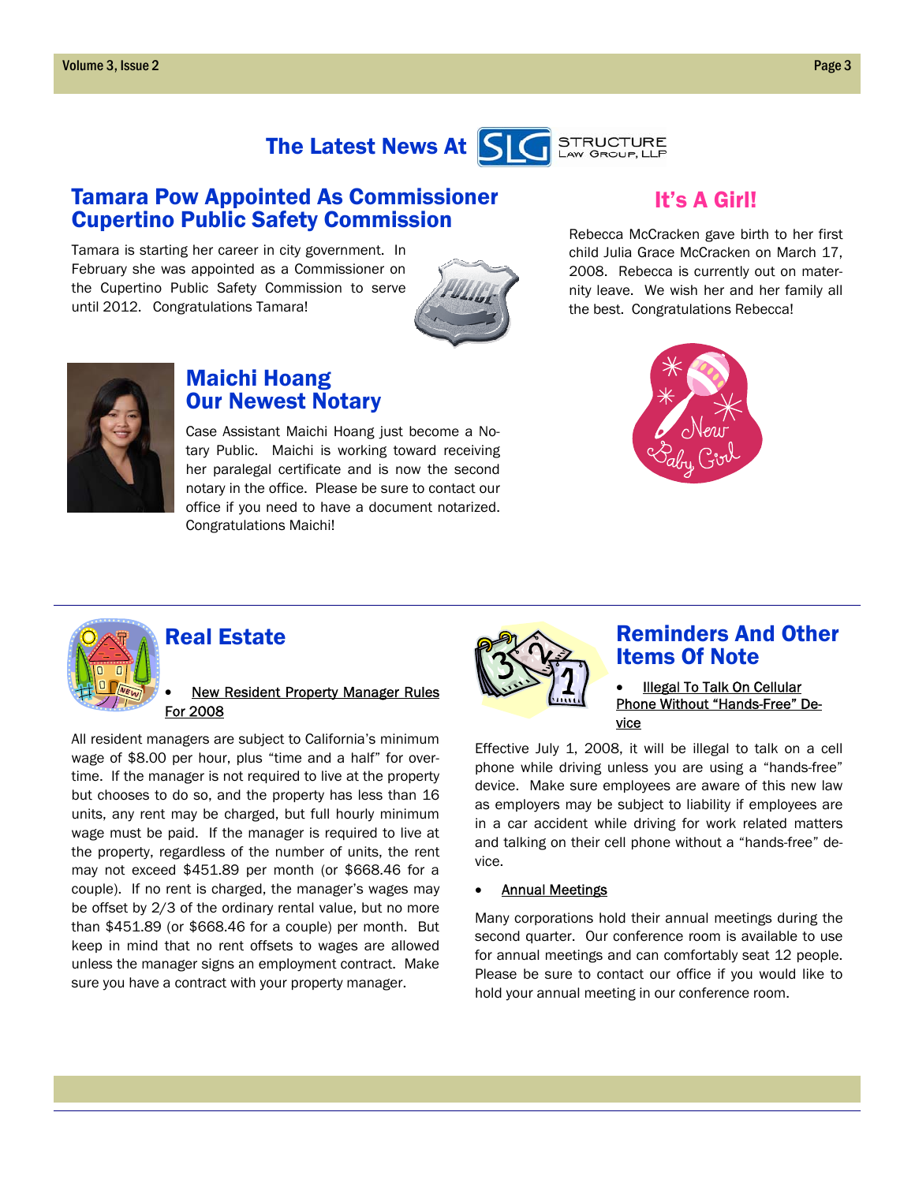

### Tamara Pow Appointed As Commissioner Cupertino Public Safety Commission

Tamara is starting her career in city government. In February she was appointed as a Commissioner on the Cupertino Public Safety Commission to serve until 2012. Congratulations Tamara!



## It's A Girl!

Rebecca McCracken gave birth to her first child Julia Grace McCracken on March 17, 2008. Rebecca is currently out on maternity leave. We wish her and her family all the best. Congratulations Rebecca!



## Maichi Hoang Our Newest Notary

Case Assistant Maichi Hoang just become a Notary Public. Maichi is working toward receiving her paralegal certificate and is now the second notary in the office. Please be sure to contact our office if you need to have a document notarized. Congratulations Maichi!





### Real Estate

#### • New Resident Property Manager Rules For 2008

All resident managers are subject to California's minimum wage of \$8.00 per hour, plus "time and a half" for overtime. If the manager is not required to live at the property but chooses to do so, and the property has less than 16 units, any rent may be charged, but full hourly minimum wage must be paid. If the manager is required to live at the property, regardless of the number of units, the rent may not exceed \$451.89 per month (or \$668.46 for a couple). If no rent is charged, the manager's wages may be offset by 2/3 of the ordinary rental value, but no more than \$451.89 (or \$668.46 for a couple) per month. But keep in mind that no rent offsets to wages are allowed unless the manager signs an employment contract. Make sure you have a contract with your property manager.



### Reminders And Other Items Of Note

#### • Illegal To Talk On Cellular Phone Without "Hands-Free" Device

Effective July 1, 2008, it will be illegal to talk on a cell phone while driving unless you are using a "hands-free" device. Make sure employees are aware of this new law as employers may be subject to liability if employees are in a car accident while driving for work related matters and talking on their cell phone without a "hands-free" device.

#### **Annual Meetings**

Many corporations hold their annual meetings during the second quarter. Our conference room is available to use for annual meetings and can comfortably seat 12 people. Please be sure to contact our office if you would like to hold your annual meeting in our conference room.